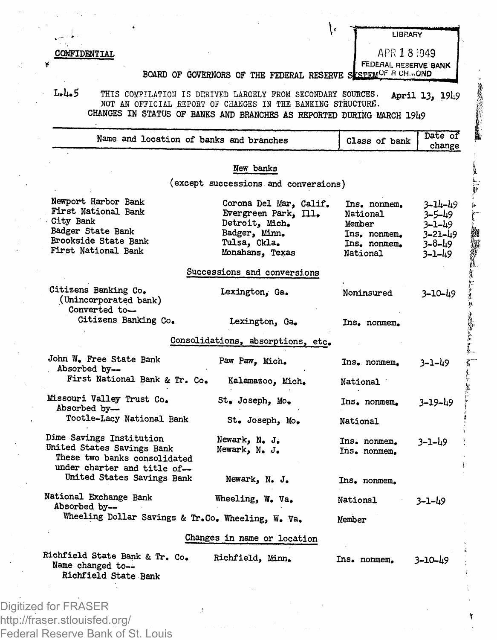**CONFIDENTIAL** 

**LIBRARY APR 1 8 1949**

地方的

**BOARD** OF GOVERNORS OF THE FEDERAL RESERVE SESTEMCE B CH. OND FEDERAL RESERVE BANK

ţ,

L.It**.5** THIS COMPILATION IS DERIVED LARGELY PROM SECONDARY SOURCES. **April 13, 19^9** NOT AN OFFICIAL REPORT OF CHANGES IN THE BANKING STRUCTURE. **CHANGES IN STATUS OF BANKS AND BRANCHES AS REPORTED DURING MARCH 19i\*9**

|                                                              | New banks                            |              |               |
|--------------------------------------------------------------|--------------------------------------|--------------|---------------|
|                                                              | (except successions and conversions) |              |               |
| Newport Harbor Bank                                          | Corona Del Mar, Calif.               | Ins. nonmem. | 3-14-49       |
| First National Bank                                          | Evergreen Park, Ill.                 | National     | 3-5-49        |
| City Bank                                                    | Detroit, Mich.                       | Member       | 3–1–49        |
| Badger State Bank                                            | Badger, Minn.                        | Ins. nonmem. | $3 - 21 - h9$ |
| Brookside State Bank                                         | Tulsa, Okla.                         | Ins. nonmem. | 3-8-49        |
| First National Bank                                          | Monahans, Texas                      | National     | 3-1-49        |
|                                                              | Successions and conversions          |              |               |
| Citizens Banking Co.                                         | Lexington, Ga.                       | Noninsured   | $3 - 10 - 49$ |
| (Unincorporated bank)<br>Converted to--                      |                                      |              |               |
| Citizens Banking Co.                                         | Lexington, Ga.                       | Ins. nonmem. |               |
|                                                              | Consolidations, absorptions, etc.    |              |               |
| John W. Free State Bank                                      | Paw Paw, Mich.                       | Ins. nonmem. | 3-1-49        |
| Absorbed by-                                                 |                                      |              |               |
| First National Bank & Tr. Co.                                | Kalamazoo, Mich.                     | National     |               |
| Missouri Valley Trust Co.                                    | St. Joseph, Mo.                      | Ins, nonmem. | 3-19-49       |
| Absorbed by--                                                |                                      |              |               |
| Tootle-Lacy National Bank                                    | St. Joseph, Mo.                      | National     |               |
| Dime Savings Institution                                     | Newark, N. J.                        | Ins. nonmem. | 3–1–49        |
| United States Savings Bank                                   | Newark, N. J.                        | Ins. nonmem. |               |
| These two banks consolidated<br>under charter and title of-- |                                      |              |               |
| United States Savings Bank                                   | Newark, N. J.                        | Ins. nonmem. |               |
| National Exchange Bank                                       | Wheeling, W. Va.                     | National     | 3-1-49        |
| Absorbed by-                                                 |                                      |              |               |
| Wheeling Dollar Savings & Tr.Co. Wheeling, W. Va.            |                                      | Member       |               |
|                                                              | Changes in name or location          |              |               |
| Richfield State Bank & Tr. Co.                               | Richfield, Minn.                     | Ins. nonmem. | 3–10–49       |
| Name changed to--                                            |                                      |              |               |
| Richfield State Bank                                         |                                      |              |               |

http://fraser.stlouisfed.org/ Federal Reserve Bank of St. Louis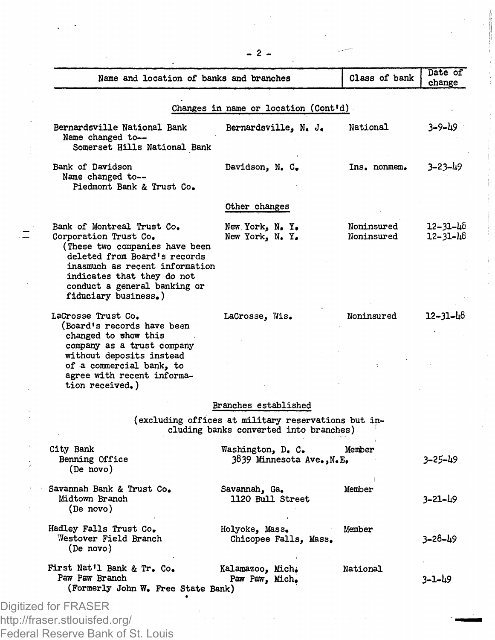| Name and location of banks and branches                                                                                                                                                                                                       |                                                                                               | Class of bank            | Date of<br>change    |
|-----------------------------------------------------------------------------------------------------------------------------------------------------------------------------------------------------------------------------------------------|-----------------------------------------------------------------------------------------------|--------------------------|----------------------|
|                                                                                                                                                                                                                                               | Changes in name or location (Cont'd)                                                          |                          |                      |
| Bernardsville National Bank<br>Name changed to--<br>Somerset Hills National Bank                                                                                                                                                              | Bernardsville, N. J.                                                                          | National                 | 3–9–49               |
| Bank of Davidson<br>Name changed to --<br>Piedmont Bank & Trust Co.                                                                                                                                                                           | Davidson, N. C.                                                                               | Ins, nonmem.             | $3 - 23 - 49$        |
|                                                                                                                                                                                                                                               | Other changes                                                                                 |                          |                      |
| Bank of Montreal Trust Co.<br>Corporation Trust Co.<br>(These two companies have been<br>deleted from Board's records<br>inasmuch as recent information<br>indicates that they do not<br>conduct a general banking or<br>fiduciary business.) | New York, N.Y.<br>New York, N.Y.                                                              | Noninsured<br>Noninsured | 12–31–46<br>12-31-48 |
| LaCrosse Trust Co.<br>(Board's records have been<br>changed to show this<br>company as a trust company<br>without deposits instead<br>of a commercial bank, to<br>agree with recent informa-<br>tion received.)                               | LaCrosse, Wis.                                                                                | Noninsured               | 12-31-48             |
|                                                                                                                                                                                                                                               | Branches established                                                                          |                          |                      |
|                                                                                                                                                                                                                                               | (excluding offices at military reservations but in-<br>cluding banks converted into branches) |                          |                      |
| City Bank<br>Benning Office<br>(De novo)                                                                                                                                                                                                      | Washington, D. C.<br>N.E. (Ninnesota Ave., N.E.                                               | Member                   | 3–25–49              |
| Savannah Bank & Trust Co.<br>Midtown Branch<br>(De novo)                                                                                                                                                                                      | Savannah, Ga.<br>1120 Bull Street                                                             | Member                   | 3-21-49              |
| Hadley Falls Trust Co.<br>Westover Field Branch<br>(De novo)                                                                                                                                                                                  | Holyoke, Mass.<br>Chicopee Falls, Mass.                                                       | Member                   | 3–28–49              |
| First Nat'l Bank & Tr. Co.<br>Paw Paw Branch<br>(Formerly John W. Free State Bank)                                                                                                                                                            | Kalamazoo, Mich.<br>Paw Paw, Mich.                                                            | National                 | 3–1–49               |
| Digitized for FRASER                                                                                                                                                                                                                          |                                                                                               |                          |                      |
| http://fraser.stlouisfed.org/                                                                                                                                                                                                                 |                                                                                               |                          |                      |
| Federal Reserve Bank of St. Louis                                                                                                                                                                                                             |                                                                                               |                          |                      |

**- 2 \_**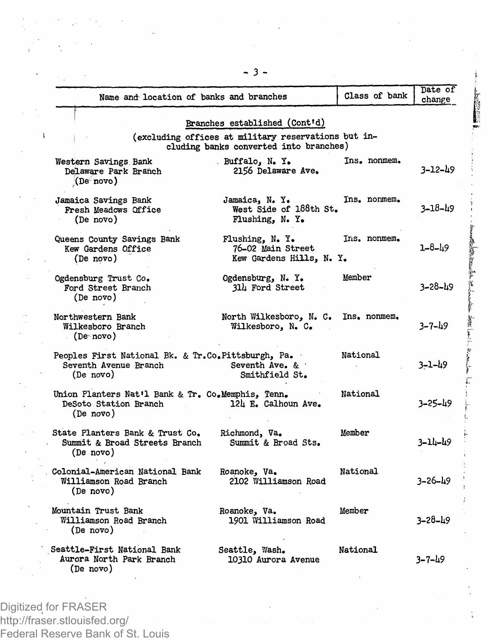|                                                                                          | Name and location of banks and branches                                                                                        | Class of bank | Date of<br>change |
|------------------------------------------------------------------------------------------|--------------------------------------------------------------------------------------------------------------------------------|---------------|-------------------|
|                                                                                          | Branches established (Cont'd)<br>(excluding offices at military reservations but in-<br>cluding banks converted into branches) |               |                   |
| Western Savings Bank<br>Delaware Park Branch<br>(De <sub>0</sub> novo)                   | . Buffalo, N. Y.<br>2156 Delaware Ave.                                                                                         | Ins. nonmem.  | $3 - 12 - 49$     |
| Jamaica Savings Bank<br>Fresh Meadows Office<br>(De novo)                                | Jamaica, N. Y.<br>West Side of 188th St.<br>Flushing, N. Y.                                                                    | Ins. nonmem.  | $3 - 18 - 49$     |
| Queens County Savings Bank<br>Kew Gardens Office<br>(De novo)                            | Flushing, N. Y.<br>76-02 Main Street<br>Kew Gardens Hills, N. Y.                                                               | Ins. nonmem.  | $1 - 8 - 49$      |
| Ogdensburg Trust Co.<br>Ford Street Branch<br>(De novo)                                  | Ogdensburg, N.Y.<br>314 Ford Street                                                                                            | Member        | 3–28–49           |
| Northwestern Bank<br>Wilkesboro Branch<br>$\cdot$ (De novo)                              | North Wilkesboro, N. C.<br>Wilkesboro, N. C.                                                                                   | Ins. nonmem.  | $3 - 7 - 49$      |
| Peoples First National Bk. & Tr.Co.Pittsburgh, Pa.<br>Seventh Avenue Branch<br>(De novo) | Seventh Ave. &<br>Smithfield St.                                                                                               | National      | $3 - 1 - 49$      |
| Union Planters Nat'l Bank & Tr. Co.Memphis, Tenn.<br>DeSoto Station Branch<br>(De novo)  | 12h E. Calhoun Ave.                                                                                                            | National      | $3 - 25 - 49$     |
| State Planters Bank & Trust Co.<br>Summit & Broad Streets Branch<br>(De novo)            | Richmond, Va.<br>Summit & Broad Sts.                                                                                           | Member        | 3-14-49           |
| Colonial-American National Bank<br>Williamson Road Branch<br>(De novo)                   | Roanoke, Va.<br>2102 Williamson Road                                                                                           | National      | $3 - 26 - 19$     |
| Mountain Trust Bank<br>Williamson Road Branch<br>(De novo)                               | Roanoke, Va.<br>1901 Williamson Road                                                                                           | Member        | $3 - 28 - 19$     |
| Seattle-First National Bank<br>Aurora North Park Branch<br>(De novo)                     | Seattle, Wash.<br>10310 Aurora Avenue                                                                                          | National      | $3 - 7 - 49$      |

Digitized for FRASER http://fraser.stlouisfed.org/ Federal Reserve Bank of St. Louis **- 3**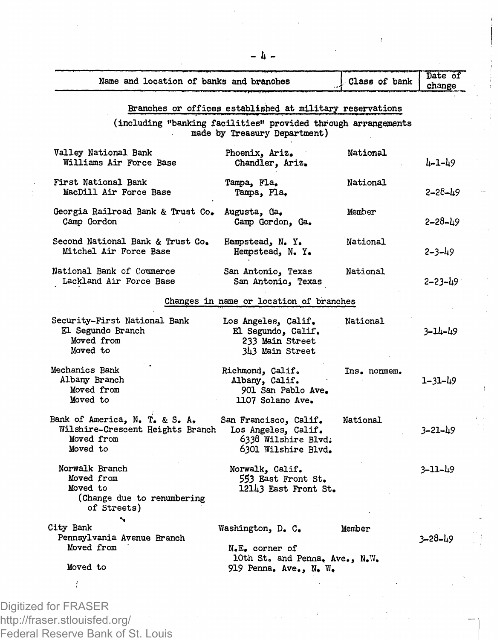| Branches or offices established at military reservations<br>(including "banking facilities" provided through arrangements<br>Valley National Bank<br>Williams Air Force Base<br>First National Bank<br>MacDill Air Force Base<br>Georgia Railroad Bank & Trust Co.<br>Camp Gordon | made by Treasury Department)<br>Phoenix, Ariz.<br>Chandler, Ariz.<br>Tampa, Fla.<br>Tampa, Fla.<br>Augusta, Ga,<br>Camp Gordon, Ga.<br>Hempstead, N.Y. | National<br>National<br>Member | 4-1-49<br>2-28-49<br>$2 - 28 - 19$ |
|-----------------------------------------------------------------------------------------------------------------------------------------------------------------------------------------------------------------------------------------------------------------------------------|--------------------------------------------------------------------------------------------------------------------------------------------------------|--------------------------------|------------------------------------|
|                                                                                                                                                                                                                                                                                   |                                                                                                                                                        |                                |                                    |
|                                                                                                                                                                                                                                                                                   |                                                                                                                                                        |                                |                                    |
|                                                                                                                                                                                                                                                                                   |                                                                                                                                                        |                                |                                    |
|                                                                                                                                                                                                                                                                                   |                                                                                                                                                        |                                |                                    |
|                                                                                                                                                                                                                                                                                   |                                                                                                                                                        |                                |                                    |
|                                                                                                                                                                                                                                                                                   |                                                                                                                                                        |                                |                                    |
| Second National Bank & Trust Co.<br>Mitchel Air Force Base                                                                                                                                                                                                                        | Hempstead, N.Y.                                                                                                                                        | National                       | 2-3-49                             |
| National Bank of Commerce<br>Lackland Air Force Base                                                                                                                                                                                                                              | San Antonio, Texas<br>San Antonio, Texas                                                                                                               | National                       | 2-23-49                            |
|                                                                                                                                                                                                                                                                                   | Changes in name or location of branches                                                                                                                |                                |                                    |
| Security-First National Bank<br>El Segundo Branch<br>Moved from<br>Moved to                                                                                                                                                                                                       | Los Angeles, Calif.<br>El Segundo, Calif.<br>233 Main Street<br>343 Main Street                                                                        | National                       | 3-14-49                            |
| Mechanics Bank<br>Albany Branch<br>Moved from<br>Moved to                                                                                                                                                                                                                         | Richmond, Calif.<br>Albany, Calif.<br>901 San Pablo Ave.<br>1107 Solano Ave.                                                                           | Ins. nonmem.                   | 1-31-49                            |
| Bank of America, N. T. & S. A.<br>Wilshire-Crescent Heights Branch<br>Moved from<br>Moved to                                                                                                                                                                                      | San Francisco, Calif.<br>Los Angeles, Calif.<br>6338 Wilshire Blvd.<br>6301 Wilshire Blvd.                                                             | National                       | $3 - 21 - 49$                      |
| Norwalk Branch<br>Moved from<br>Moved to<br>(Change due to renumbering<br>of Streets)                                                                                                                                                                                             | Norwalk, Calif.<br>553 East Front St.<br>12143 East Front St.                                                                                          |                                | 3–11–49                            |
| ۰.<br>City Bank<br>Pennsylvania Avenue Branch<br>Moved from                                                                                                                                                                                                                       | Washington, D. C.<br>N.E. corner of<br>lOth St. and Penna. Ave., N.W.                                                                                  | Member                         | 3–28–49                            |
| Moved to                                                                                                                                                                                                                                                                          | 919 Penna. Ave., N. W.                                                                                                                                 |                                |                                    |
| ţ                                                                                                                                                                                                                                                                                 |                                                                                                                                                        |                                |                                    |

Digitized for FRASER http://fraser.stlouisfed.org/ Federal Reserve Bank of St. Louis -It -